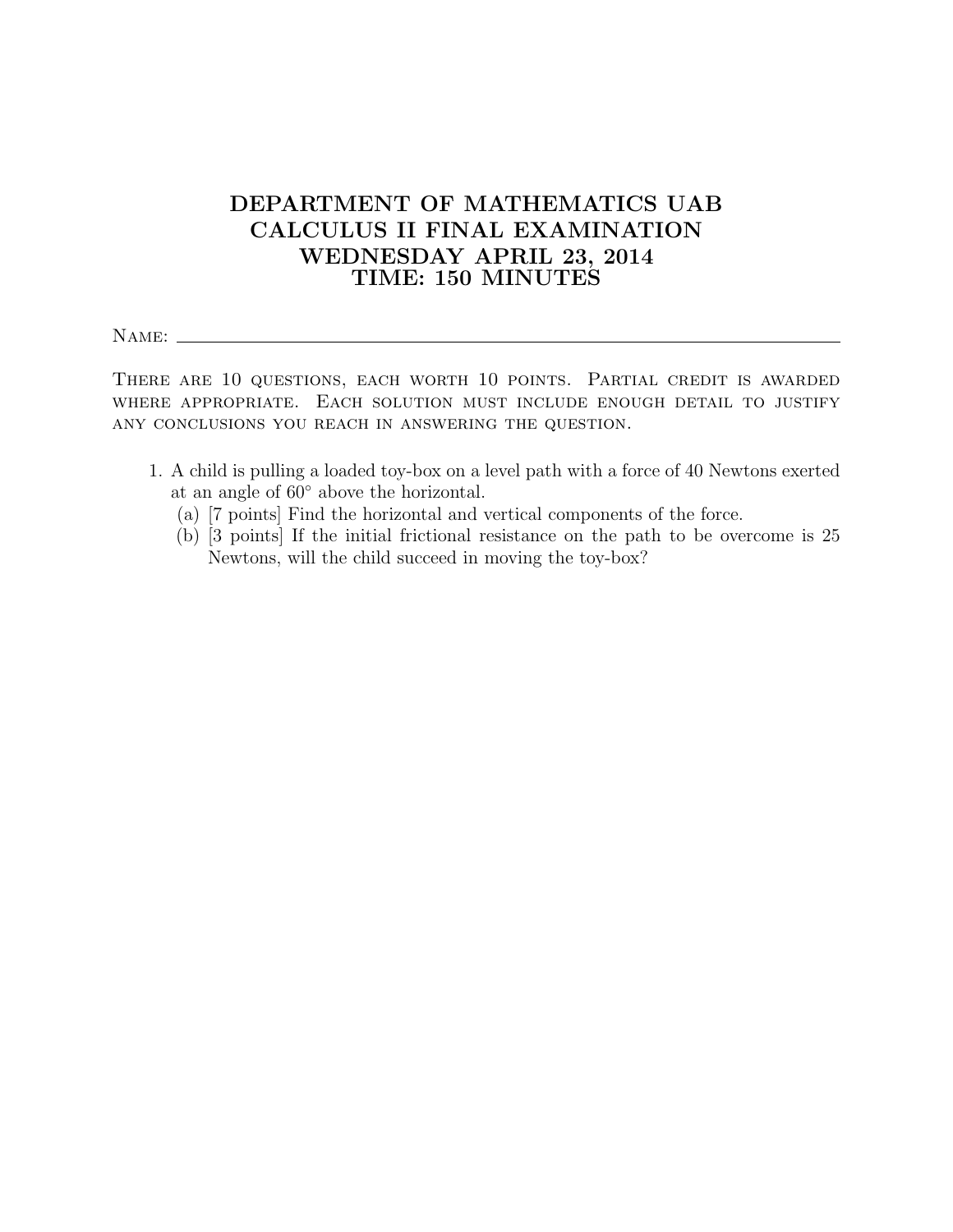## DEPARTMENT OF MATHEMATICS UAB CALCULUS II FINAL EXAMINATION WEDNESDAY APRIL 23, 2014 TIME: 150 MINUTES

Name:

There are 10 questions, each worth 10 points. Partial credit is awarded where appropriate. Each solution must include enough detail to justify any conclusions you reach in answering the question.

- 1. A child is pulling a loaded toy-box on a level path with a force of 40 Newtons exerted at an angle of 60◦ above the horizontal.
	- (a) [7 points] Find the horizontal and vertical components of the force.
	- (b) [3 points] If the initial frictional resistance on the path to be overcome is 25 Newtons, will the child succeed in moving the toy-box?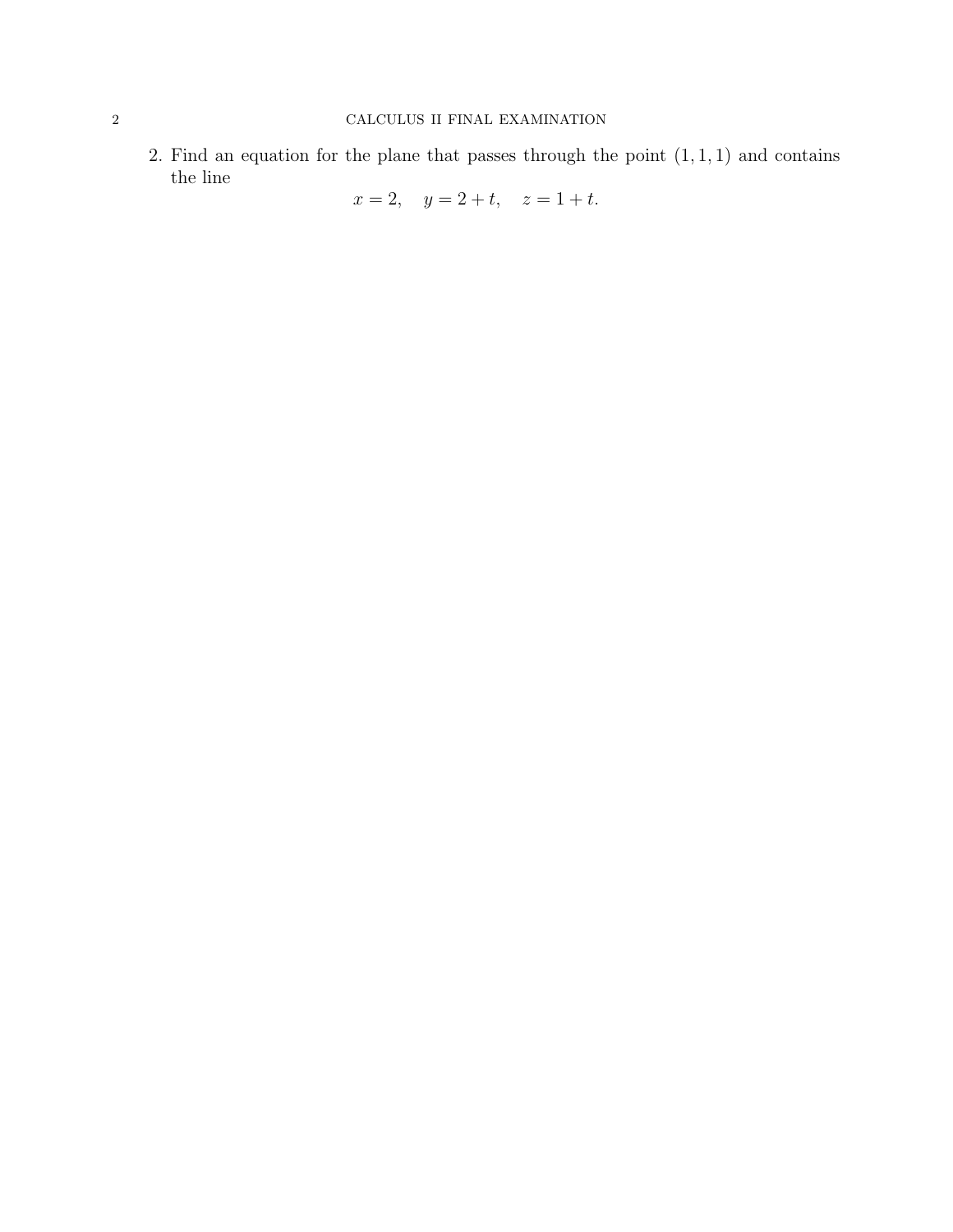2. Find an equation for the plane that passes through the point  $(1, 1, 1)$  and contains the line

 $x = 2$ ,  $y = 2 + t$ ,  $z = 1 + t$ .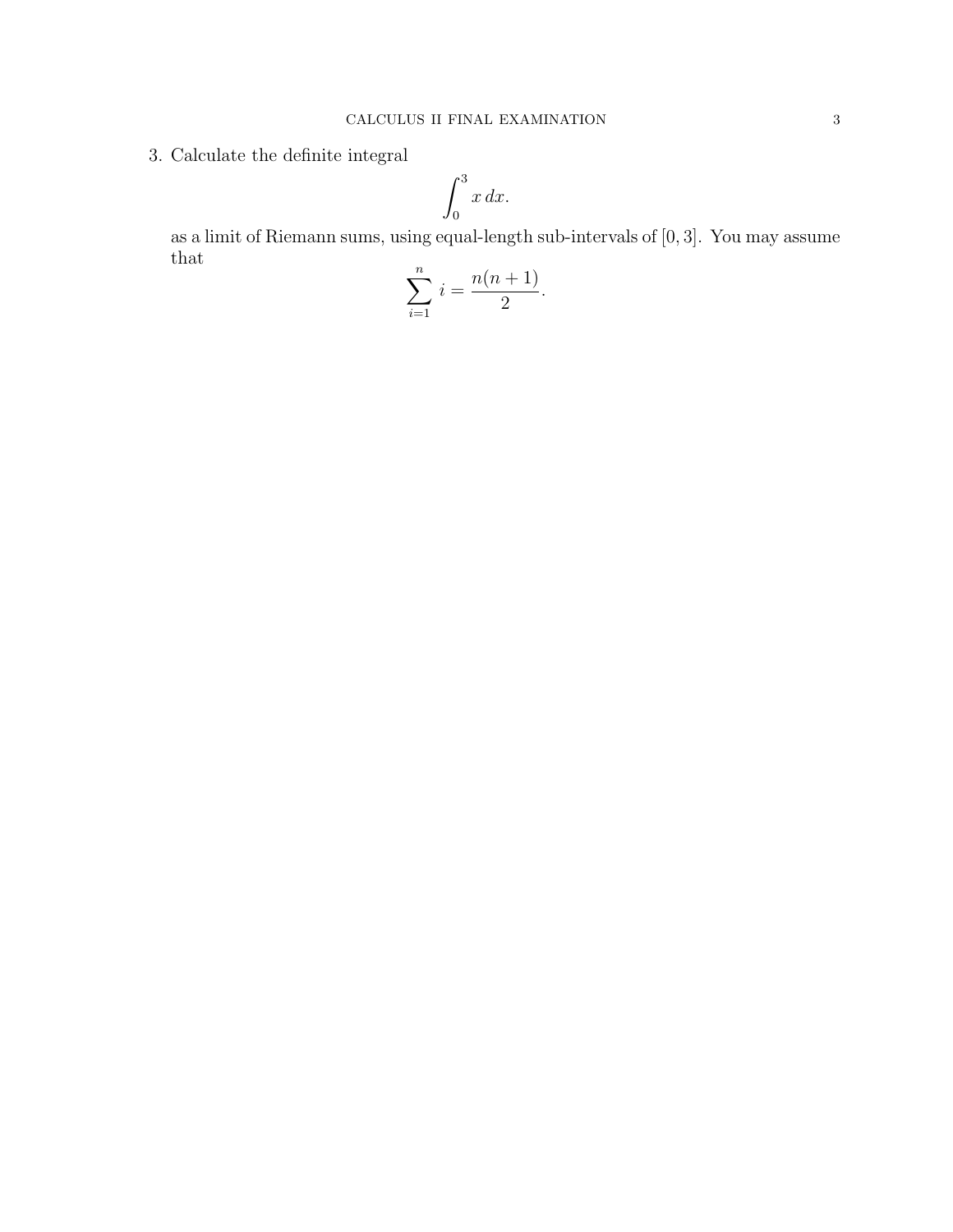3. Calculate the definite integral

$$
\int_0^3 x \, dx.
$$

as a limit of Riemann sums, using equal-length sub-intervals of [0, 3]. You may assume that

$$
\sum_{i=1}^{n} i = \frac{n(n+1)}{2}.
$$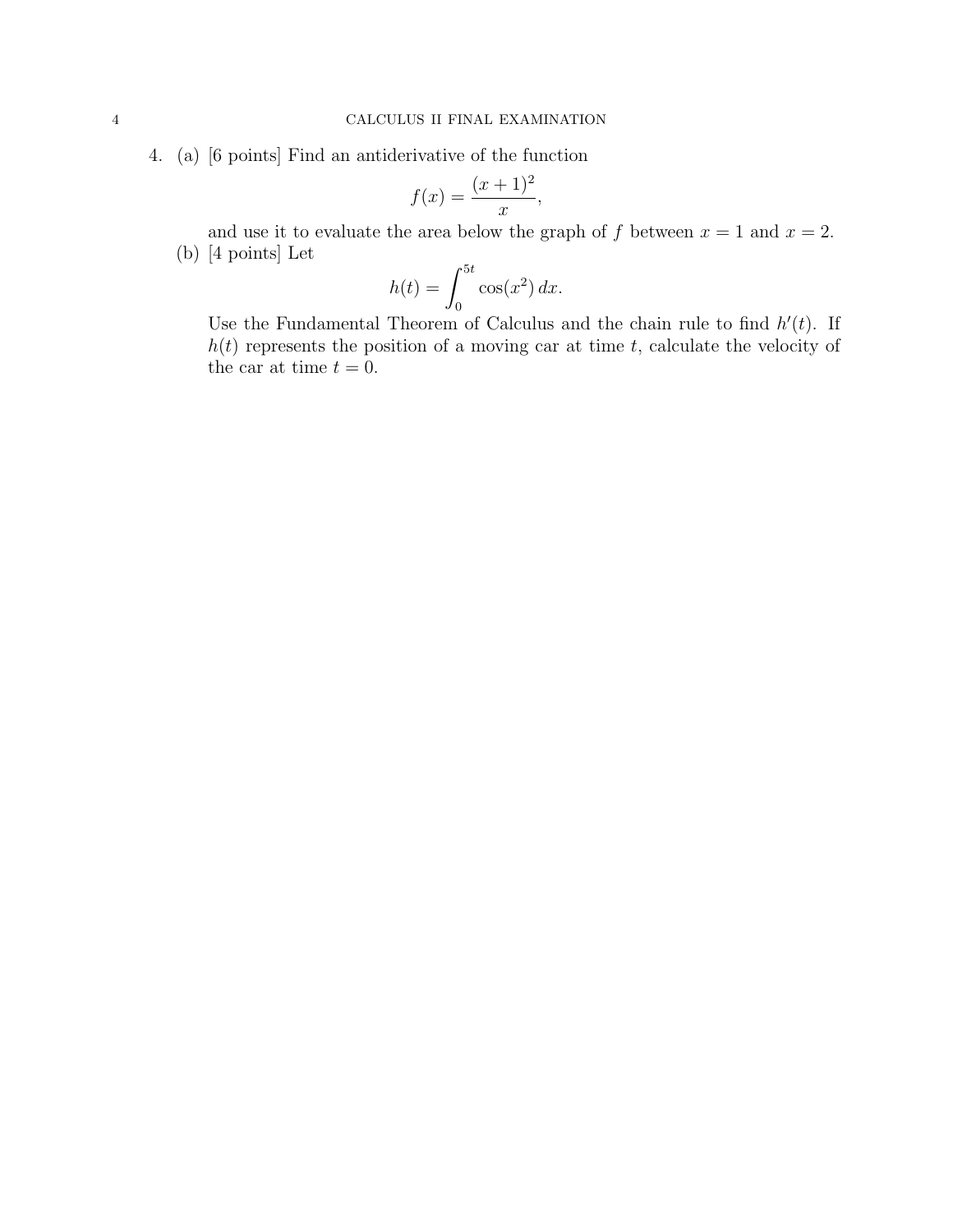4. (a) [6 points] Find an antiderivative of the function

$$
f(x) = \frac{(x+1)^2}{x},
$$

and use it to evaluate the area below the graph of f between  $x = 1$  and  $x = 2$ . (b) [4 points] Let

$$
h(t) = \int_0^{5t} \cos(x^2) dx.
$$

Use the Fundamental Theorem of Calculus and the chain rule to find  $h'(t)$ . If  $h(t)$  represents the position of a moving car at time t, calculate the velocity of the car at time  $t = 0$ .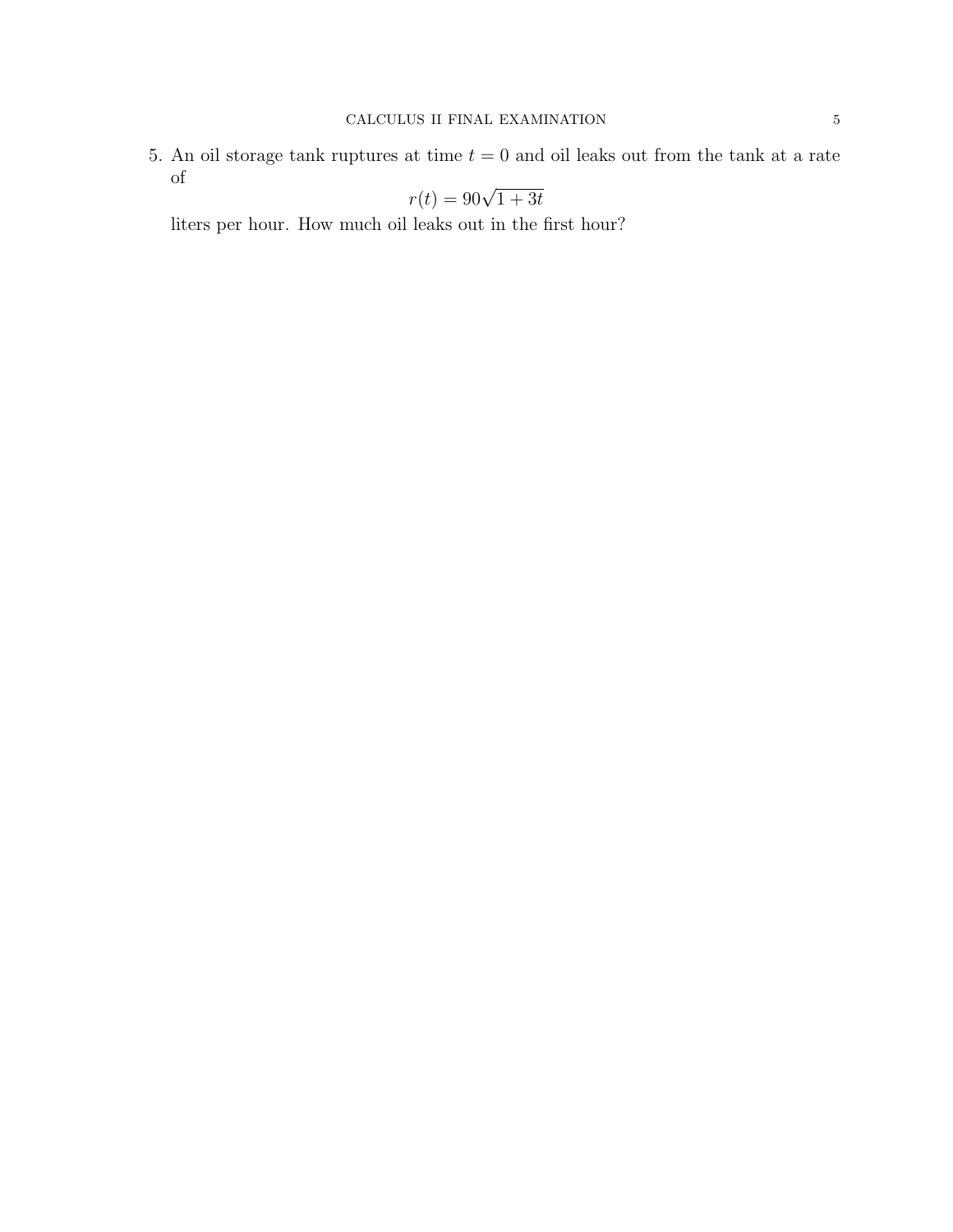5. An oil storage tank ruptures at time  $t = 0$  and oil leaks out from the tank at a rate of

$$
r(t) = 90\sqrt{1+3t}
$$

liters per hour. How much oil leaks out in the first hour?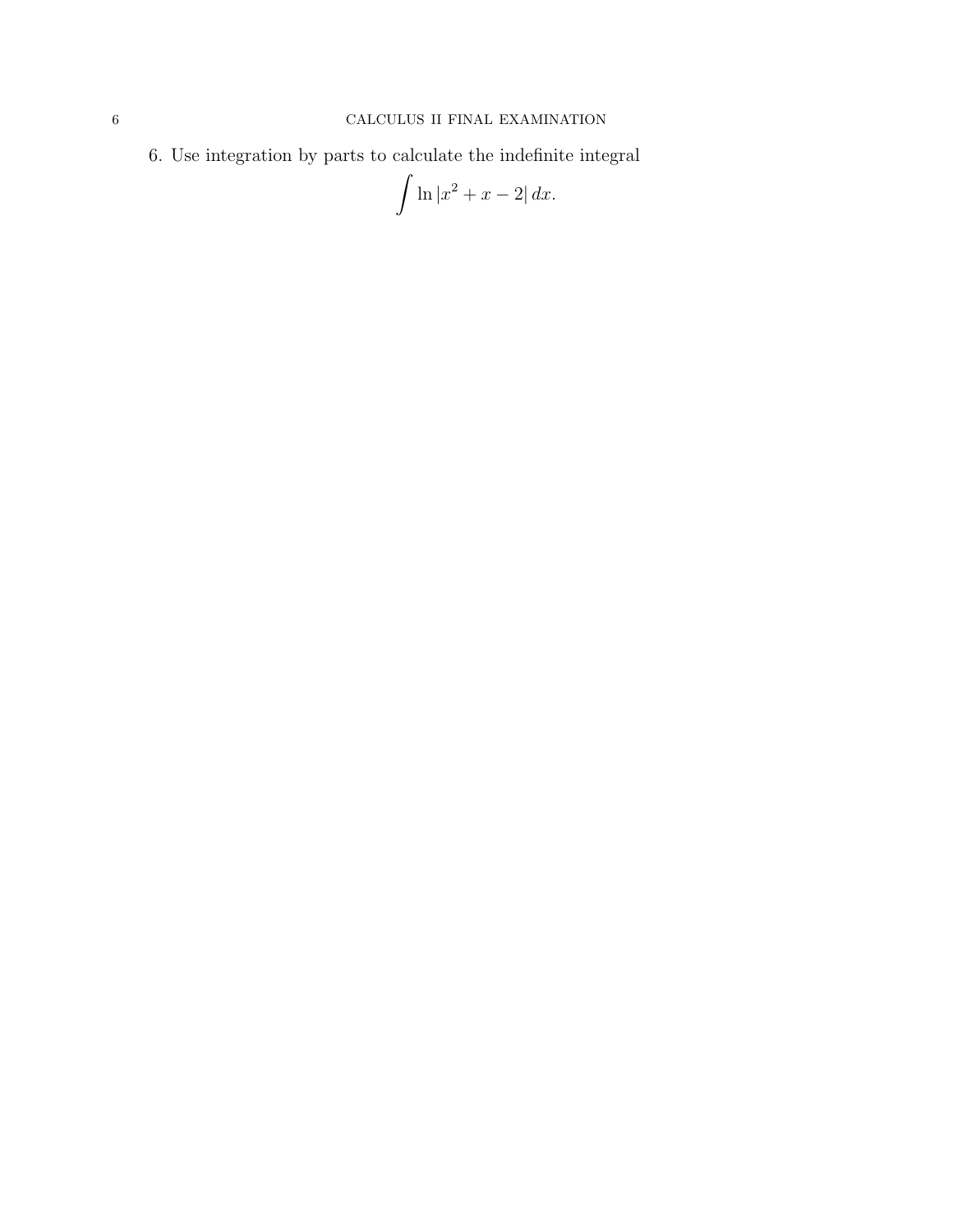6. Use integration by parts to calculate the indefinite integral

$$
\int \ln|x^2 + x - 2| \, dx.
$$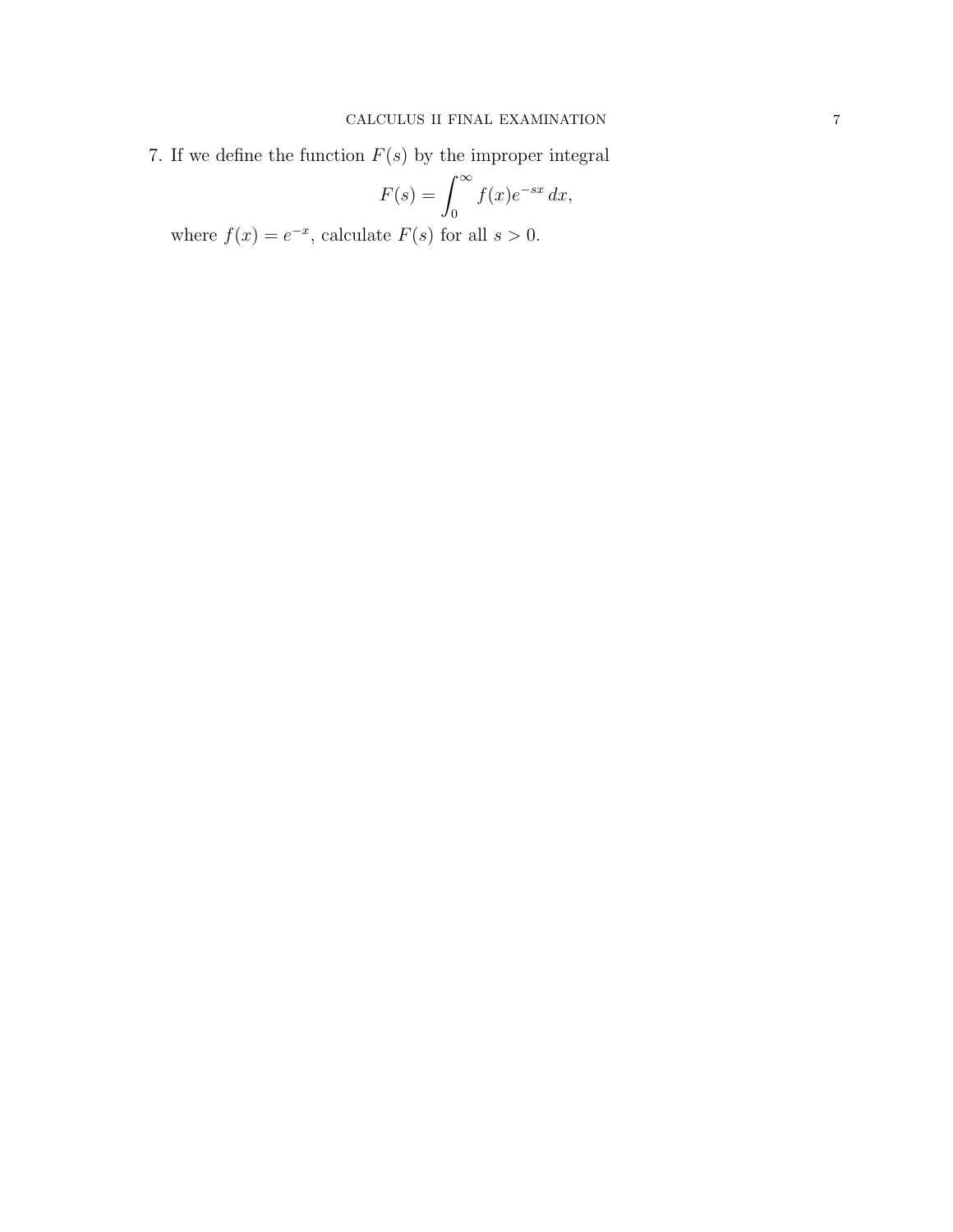7. If we define the function  $F(s)$  by the improper integral

$$
F(s) = \int_0^\infty f(x)e^{-sx} dx,
$$

where  $f(x) = e^{-x}$ , calculate  $F(s)$  for all  $s > 0$ .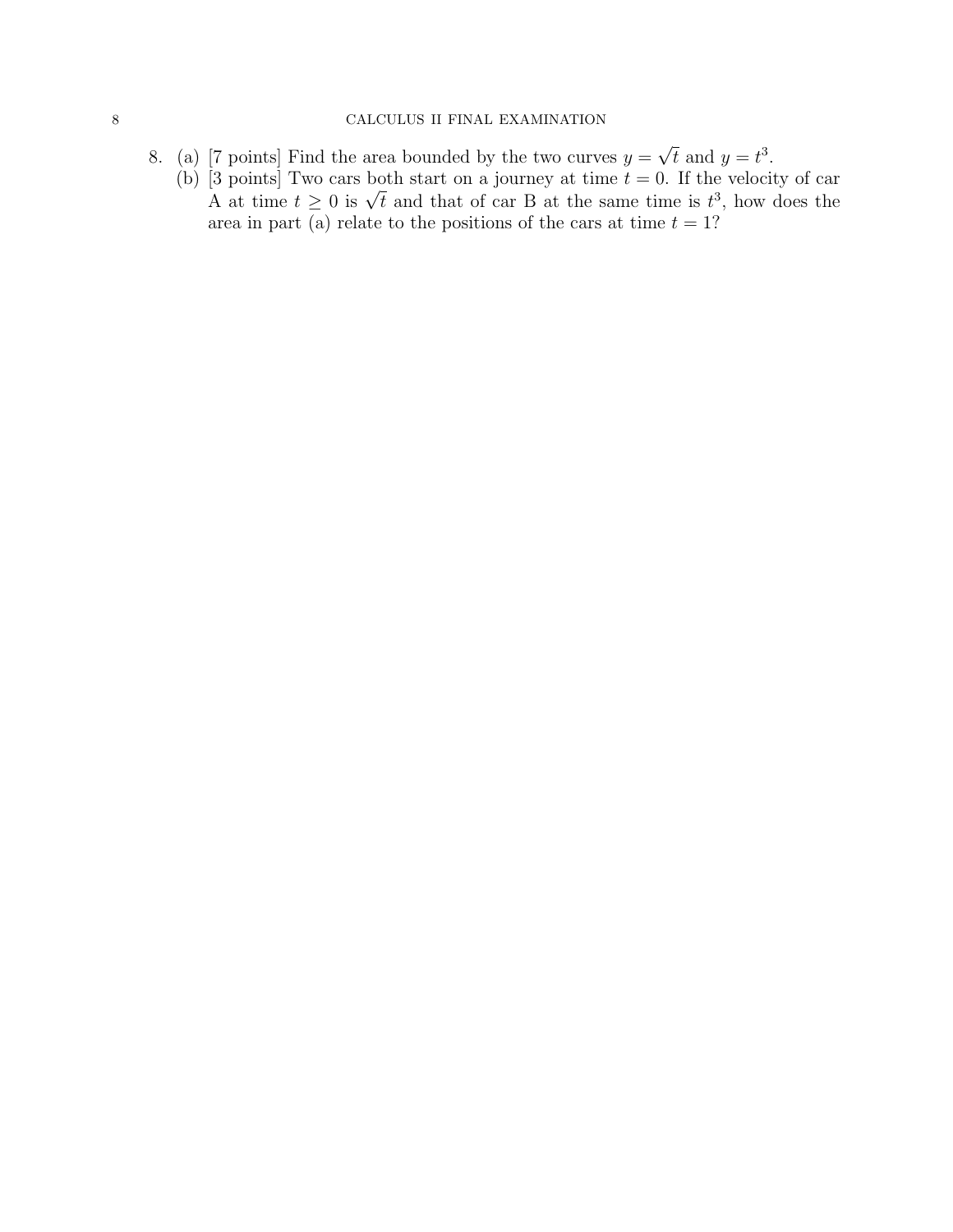## 8 CALCULUS II FINAL EXAMINATION

- 8. (a) [7 points] Find the area bounded by the two curves  $y =$ √  $\overline{t}$  and  $y = t^3$ .
	- (b)  $\overline{3}$  points] Two cars both start on a journey at time  $t = 0$ . If the velocity of car s points to care both start on a journey at time  $t = 0$ . If the velocity of car A at time  $t \geq 0$  is  $\sqrt{t}$  and that of car B at the same time is  $t^3$ , how does the area in part (a) relate to the positions of the cars at time  $t = 1$ ?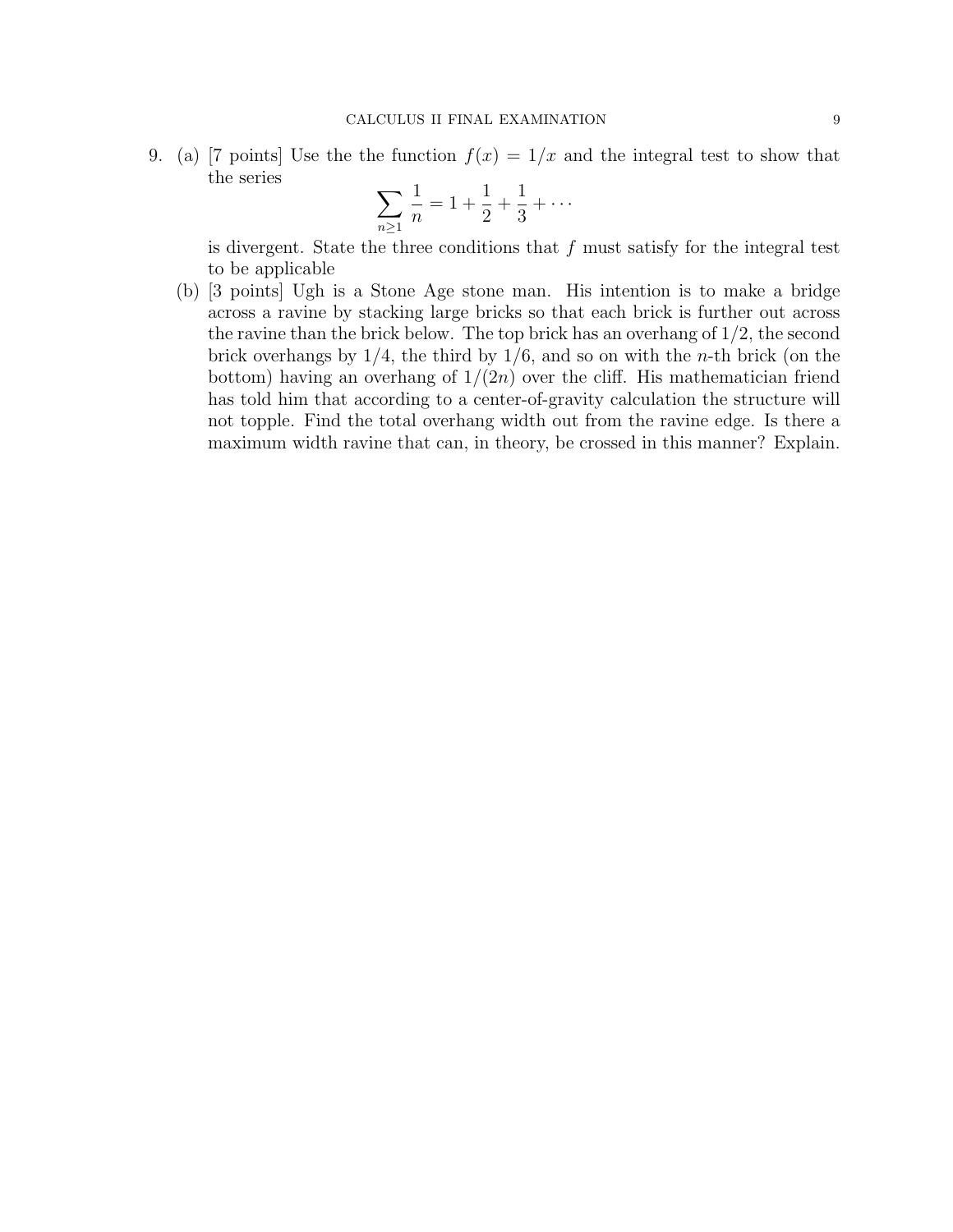9. (a) [7 points] Use the function  $f(x) = 1/x$  and the integral test to show that the series

$$
\sum_{n\geq 1} \frac{1}{n} = 1 + \frac{1}{2} + \frac{1}{3} + \cdots
$$

is divergent. State the three conditions that  $f$  must satisfy for the integral test to be applicable

(b) [3 points] Ugh is a Stone Age stone man. His intention is to make a bridge across a ravine by stacking large bricks so that each brick is further out across the ravine than the brick below. The top brick has an overhang of 1/2, the second brick overhangs by  $1/4$ , the third by  $1/6$ , and so on with the *n*-th brick (on the bottom) having an overhang of  $1/(2n)$  over the cliff. His mathematician friend has told him that according to a center-of-gravity calculation the structure will not topple. Find the total overhang width out from the ravine edge. Is there a maximum width ravine that can, in theory, be crossed in this manner? Explain.